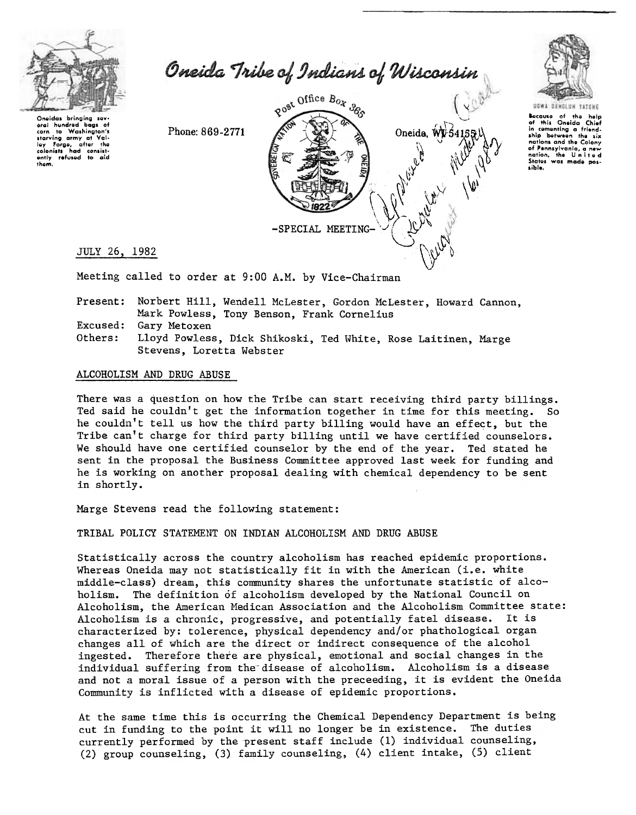

Oneida Tribe of Indians of Wisconsin

Oneidas brinaina sev oral hundred bags of starving army at Val-<br>ley Forge, after the<br>colonists had consistently refused to aid them.

Phone: 869-2771





ause of the help<br>this Oneida Chief Bocauso

in comenting a friend-<br>ship between the six ship nations and the Colony of Pennsylvania, a States was made sible.

JULY 26, 1982

Meeting called to order at 9:00 A.M. by Vice-Chairman

Present: Norbert Hill, Wendell McLester, Gordon McLester, Howard Cannon, Mark Powless, Tony Benson, Frank Cornelius Excused: Gary Metoxen Others: Lloyd Powless, Dick Shikoski, Ted White, Rose Laitinen, Marge Stevens, Loretta Webster

### ALCOHOLISM AND DRUG ABUSE

There was a question on how the Tribe can start receiving third party billings. Ted said he couldn't get the information together in time for this meeting. So he couldn't tell us how the third party billing would have an effect, but the Tribe can't charge for third party billing until we have certified counselors. We should have one certified counselor by the end of the year. Ted stated he sent in the proposal the Business Committee approved last week for funding and he is working on another proposal dealing with chemical dependency to be sent in shortly.

Marge Stevens read the following statement:

TRIBAL POLICY STATEMENT ON INDIAN ALCOHOLISM AND DRUG ABUSE

Statistically across the country alcoholism has reached epidemic proportions. Whereas Oneida may not statistically fit in with the American (i.e. white middle-class) dream, this community shares the unfortunate statistic of alcoholism. The definition of alcoholism developed by the National Council on Alcoholism, the American Medican Association and the Alcoholism Committee state: Alcoholism is a chronic, progressive, and potentially fatel disease. It is characterized by: tolerence, physical dependency and/or phathological organ changes all of which are the direct or indirect consequence of the alcohol ingested. Therefore there are physical, emotional and social changes in the individual suffering from the disease of alcoholism. Alcoholism is a disease and not a moral issue of a person with the preceeding, it is evident the Oneida Community is inflicted with a disease of epidemic proportions.

At the same time this is occurring the Chemical Dependency Department is being cut in funding to the point it will no longer be in existence. The duties currently performed by the present staff include (1) individual counseling, (2) group counseling, (3) family counseling, (4) client intake, (5) client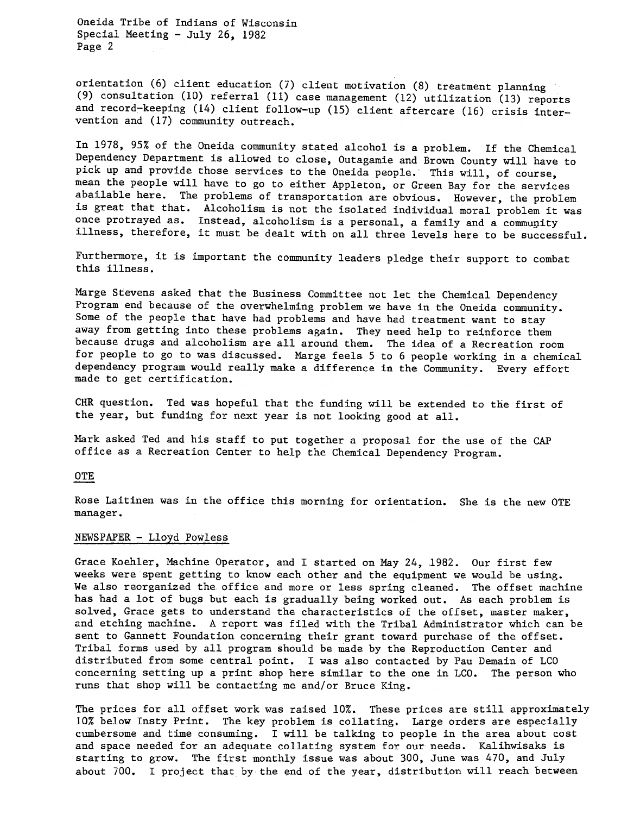Oneida Tribe of Indians of Wisconsin Special Meeting -July 26, 1982 Page 2

orientation (6) client education (7) client motivation (8) treatment planning (9) consultation (10) referral (11) case management (12) utilization (13) reports and record-keeping (14) client follow-up (15) client aftercare (16) crisis intervention and  $(17)$  community outreach.

In 1978, 95% of the Oneida community stated alcohol is a problem. If the Chemical Dependency Department is allowed to close, Outagamie and Brown County will have to pick up and provide those services to the Oneida people. This will, of course, mean the people will have to go to either Appleton, or Green Bay for the services abailable here. The problems of transportation are obvious. However, the problem is great that that. Alcoholism is not the isolated individual moral problem it was once protrayed as. Instead, alcoholism is a personal, a family and a community illness, therefore, it must be dealt with on all three levels here to be successful.

Furthermore, it is important the community leaders pledge their support to combat this illness.

Marge Stevens asked that the Business Committee not let the Chemical Dependency Program end because of the overwhelming problem we have in the Oneida community. Some of the people that have had problems and have had treatment want to stay away from getting into these problems again. They need help to reinforce them because drugs and alcoholism are all around them. The idea of a Recreation room for people to go to was discussed. Marge feels 5 to 6 people working in a chemical dependency program would really make a difference in the Community. Every effort made to get certification.

CHR question. Ted was hopeful that the funding will be extended to the first of the year, but funding for next year is not looking good at all.

Mark asked Ted and his staff to put together a proposal for the use of the CAP office as a Recreation Center to help the Chemical Dependency Program.

#### **OTE**

Rose Laitinen was in the office this morning for orientation. She is the new OTE manager.

#### NEWSPAPER - Lloyd Powless

Grace Koehler, Machine Operator, and I started on May 24, 1982. Our first few weeks were spent getting to know each other and the equipment we would be using. We also reorganized the office and more or less spring cleaned. The offset machine has had a lot of bugs but each is gradually being worked out. As each problem is solved, Grace gets to understand the characteristics of the offset, master maker, and etching machine. A report was filed with the Tribal Administrator which can be sent to Gannett Foundation concerning their grant toward purchase of the offset. Tribal forms used by all program should be made by the Reproduction Center and distributed from some central point. I was also contacted by Pau Demain of LCO concerning setting up a print shop here similar to the one in LCO. The person who runs that shop will be contacting me and/or Bruce King.

The prices for all offset work was raised 10%. These prices are still approximately 10% below Insty Print. The key problem is collating. Large orders are especially cumbersome and time consuming. I will be talking to people in the area about cost and space needed for an adequate collating system for our needs. Kalihwisaks is starting to grow. The first monthly issue was about 300, June was 470, and July about 700. I project that by the end of the year, distribution will reach between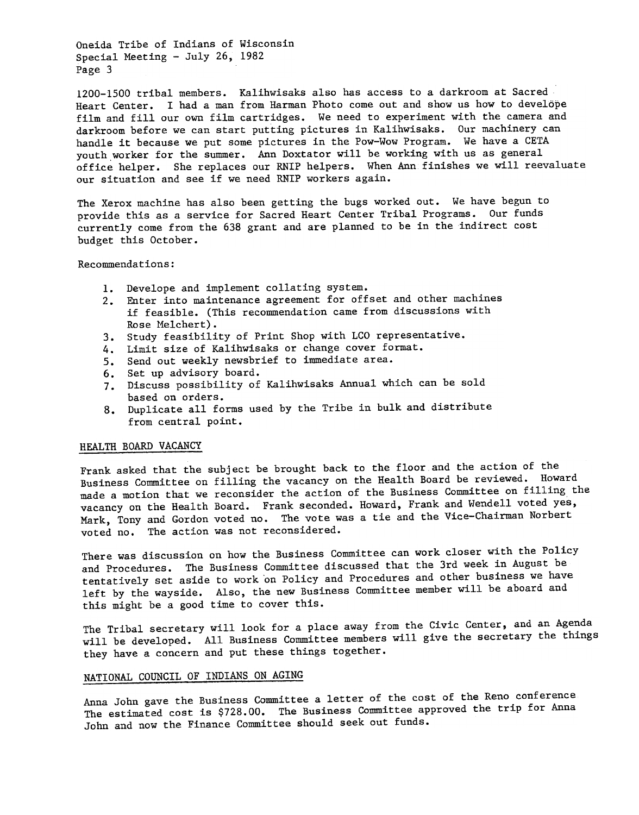Oneida Tribe of Indians of Wisconsin Special Meeting -July 26, 1982 Page 3

1200-1500 tribal members. Kalihwisaks also has access to a darkroom at Sacred Heart Center. I had a man from Harman Photo come out and show us how to develope film and fill our own film cartridges. We need to experiment with the camera and darkroom before we can start putting pictures in Kalihwisaks. Our machinery can handle it because we put some pictures in the Pow-Wow Program. We have a CETA youth worker for the summer. Ann Doxtator will be working with us as general office helper. She replaces our RNIP helpers. When Ann finishes we will reevaluate our situation and see if we need RNIP workers again.

The Xerox machine has also been getting the bugs worked out. We have begun to provide this as a service for Sacred Heart Center Tribal Programs. Our funds currently come from the 638 grant and are planned to be in the indirect cost budget this October.

## Recommendations:

- 1. Develope and implement collating system
- 2. Enter into maintenance agreement for offset and other machine if feasible. (This recommendation came from discussions with Rose Melchert).
- 3. Study feasibility of Print Shop with LCO representat
- 4. Limit size of Kalihwisaks or change cover forma
- 5. Send out weekly newsbrief to immediate area
- 6. Set up advisory board.
- 7. Discuss possibility of Kalihwisaks Annual which can be sol based on orders.
- 8. Duplicate all forms used by the Tribe in bulk and distributed. from central point.

#### HEALTH BOARD VACANCY

Frank asked that the subject be brought back to the floor and the action of the Business Committee on filling the vacancy on the Health Board be reviewed. Howard made a motion that we reconsider the action of the Business Committee on filling the vacancy on the Health Board. Frank seconded. Howard, Frank and Wendell voted yes, Mark, Tony and Gordon voted no. The vote was a tie and the Vice-Chairman Norbert voted no. The action was not reconsidered.

There was discussion on how the Business Committee can work closer with the Policy and Procedures. The Business Committee discussed that the 3rd week in August be tentatively set aside to work on Policy and Procedures and other business we have left by the wayside. Also, the new Business Committee member will be aboard and this might be a good time to cover this.

The Tribal secretary will look for a place away from the Civic Center, and an Agenda will be developed. All Business Committee members will give the secretary the things they have a concern and put these things together.

# NATIONAL COUNCIL OF INDIANS ON AGING

Anna John gave the Business Committee a letter of the cost of the Reno conference, The estimated cost is \$728.00. The Business Committee approved the trip for Anna John and now the Finance Committee should seek out funds.